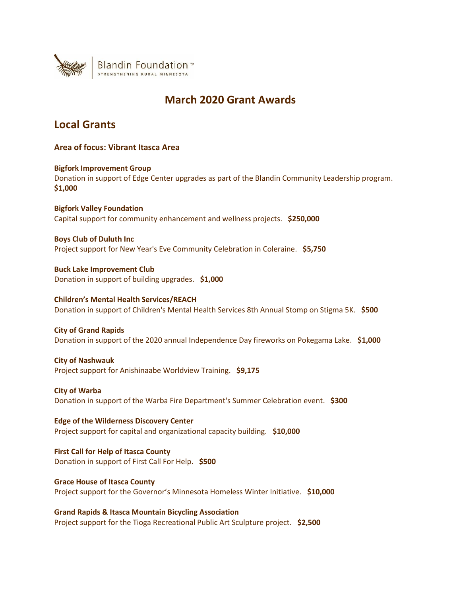

# **March 2020 Grant Awards**

# **Local Grants**

**Area of focus: Vibrant Itasca Area**

**Bigfork Improvement Group** Donation in support of Edge Center upgrades as part of the Blandin Community Leadership program. **\$1,000**

**Bigfork Valley Foundation** Capital support for community enhancement and wellness projects. **\$250,000**

**Boys Club of Duluth Inc** Project support for New Year's Eve Community Celebration in Coleraine. **\$5,750**

**Buck Lake Improvement Club** Donation in support of building upgrades. **\$1,000**

**Children's Mental Health Services/REACH** Donation in support of Children's Mental Health Services 8th Annual Stomp on Stigma 5K. **\$500**

**City of Grand Rapids** Donation in support of the 2020 annual Independence Day fireworks on Pokegama Lake. **\$1,000**

**City of Nashwauk** Project support for Anishinaabe Worldview Training. **\$9,175**

**City of Warba** Donation in support of the Warba Fire Department's Summer Celebration event. **\$300**

**Edge of the Wilderness Discovery Center** Project support for capital and organizational capacity building. **\$10,000**

**First Call for Help of Itasca County** Donation in support of First Call For Help. **\$500**

**Grace House of Itasca County** Project support for the Governor's Minnesota Homeless Winter Initiative. **\$10,000**

**Grand Rapids & Itasca Mountain Bicycling Association** Project support for the Tioga Recreational Public Art Sculpture project. **\$2,500**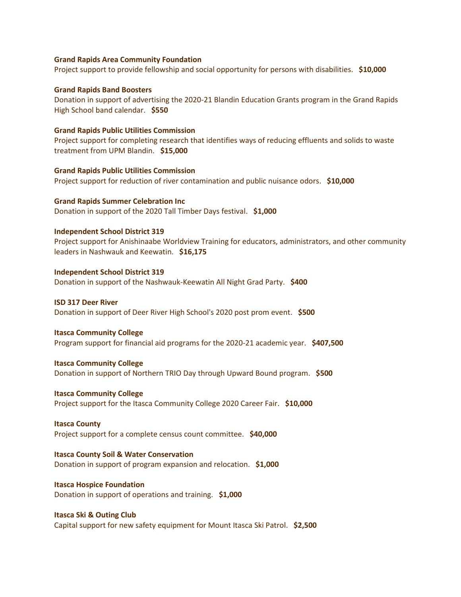#### **Grand Rapids Area Community Foundation**

Project support to provide fellowship and social opportunity for persons with disabilities. **\$10,000**

#### **Grand Rapids Band Boosters**

Donation in support of advertising the 2020-21 Blandin Education Grants program in the Grand Rapids High School band calendar. **\$550**

#### **Grand Rapids Public Utilities Commission**

Project support for completing research that identifies ways of reducing effluents and solids to waste treatment from UPM Blandin. **\$15,000**

#### **Grand Rapids Public Utilities Commission**

Project support for reduction of river contamination and public nuisance odors. **\$10,000**

**Grand Rapids Summer Celebration Inc** Donation in support of the 2020 Tall Timber Days festival. **\$1,000**

#### **Independent School District 319**

Project support for Anishinaabe Worldview Training for educators, administrators, and other community leaders in Nashwauk and Keewatin. **\$16,175**

**Independent School District 319** Donation in support of the Nashwauk-Keewatin All Night Grad Party. **\$400**

#### **ISD 317 Deer River**

Donation in support of Deer River High School's 2020 post prom event. **\$500**

#### **Itasca Community College**

Program support for financial aid programs for the 2020-21 academic year. **\$407,500**

#### **Itasca Community College**

Donation in support of Northern TRIO Day through Upward Bound program. **\$500**

#### **Itasca Community College**

Project support for the Itasca Community College 2020 Career Fair. **\$10,000**

#### **Itasca County**

Project support for a complete census count committee. **\$40,000**

#### **Itasca County Soil & Water Conservation**

Donation in support of program expansion and relocation. **\$1,000**

## **Itasca Hospice Foundation**

Donation in support of operations and training. **\$1,000**

#### **Itasca Ski & Outing Club**

Capital support for new safety equipment for Mount Itasca Ski Patrol. **\$2,500**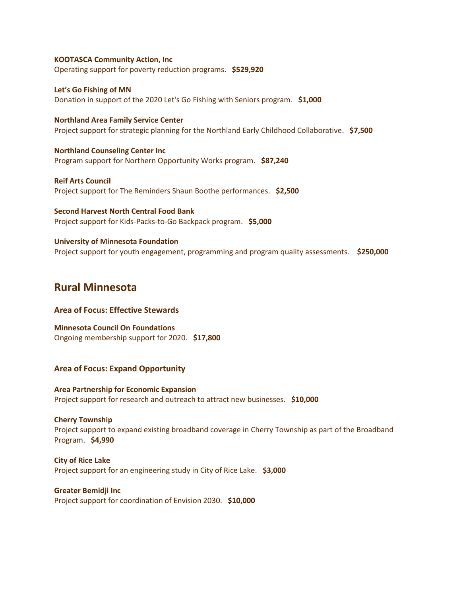#### **KOOTASCA Community Action, Inc**

Operating support for poverty reduction programs. **\$529,920**

**Let's Go Fishing of MN** Donation in support of the 2020 Let's Go Fishing with Seniors program. **\$1,000**

**Northland Area Family Service Center** Project support for strategic planning for the Northland Early Childhood Collaborative. **\$7,500**

**Northland Counseling Center Inc** Program support for Northern Opportunity Works program. **\$87,240**

**Reif Arts Council** Project support for The Reminders Shaun Boothe performances. **\$2,500**

**Second Harvest North Central Food Bank** Project support for Kids-Packs-to-Go Backpack program. **\$5,000**

**University of Minnesota Foundation** Project support for youth engagement, programming and program quality assessments. **\$250,000**

## **Rural Minnesota**

## **Area of Focus: Effective Stewards**

**Minnesota Council On Foundations** Ongoing membership support for 2020. **\$17,800**

## **Area of Focus: Expand Opportunity**

**Area Partnership for Economic Expansion** Project support for research and outreach to attract new businesses. **\$10,000**

**Cherry Township** Project support to expand existing broadband coverage in Cherry Township as part of the Broadband Program. **\$4,990**

**City of Rice Lake** Project support for an engineering study in City of Rice Lake. **\$3,000**

**Greater Bemidji Inc**

Project support for coordination of Envision 2030. **\$10,000**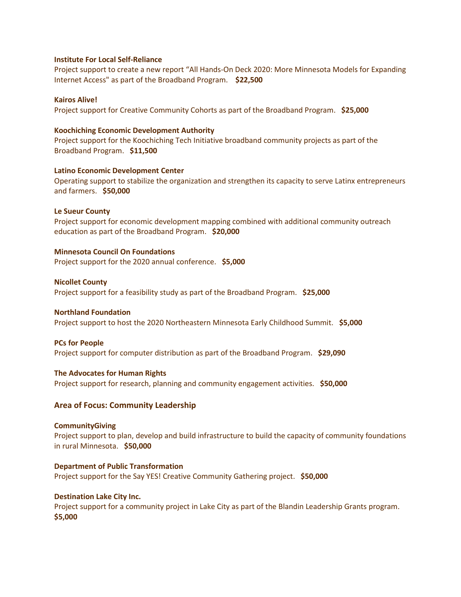#### **Institute For Local Self-Reliance**

Project support to create a new report "All Hands-On Deck 2020: More Minnesota Models for Expanding Internet Access" as part of the Broadband Program. **\$22,500**

#### **Kairos Alive!**

Project support for Creative Community Cohorts as part of the Broadband Program. **\$25,000**

#### **Koochiching Economic Development Authority**

Project support for the Koochiching Tech Initiative broadband community projects as part of the Broadband Program. **\$11,500**

#### **Latino Economic Development Center**

Operating support to stabilize the organization and strengthen its capacity to serve Latinx entrepreneurs and farmers. **\$50,000**

#### **Le Sueur County**

Project support for economic development mapping combined with additional community outreach education as part of the Broadband Program. **\$20,000**

#### **Minnesota Council On Foundations**

Project support for the 2020 annual conference. **\$5,000**

#### **Nicollet County**

Project support for a feasibility study as part of the Broadband Program. **\$25,000**

#### **Northland Foundation**

Project support to host the 2020 Northeastern Minnesota Early Childhood Summit. **\$5,000**

#### **PCs for People**

Project support for computer distribution as part of the Broadband Program. **\$29,090**

## **The Advocates for Human Rights**

Project support for research, planning and community engagement activities. **\$50,000**

## **Area of Focus: Community Leadership**

#### **CommunityGiving**

Project support to plan, develop and build infrastructure to build the capacity of community foundations in rural Minnesota. **\$50,000**

## **Department of Public Transformation**

Project support for the Say YES! Creative Community Gathering project. **\$50,000**

## **Destination Lake City Inc.**

Project support for a community project in Lake City as part of the Blandin Leadership Grants program. **\$5,000**